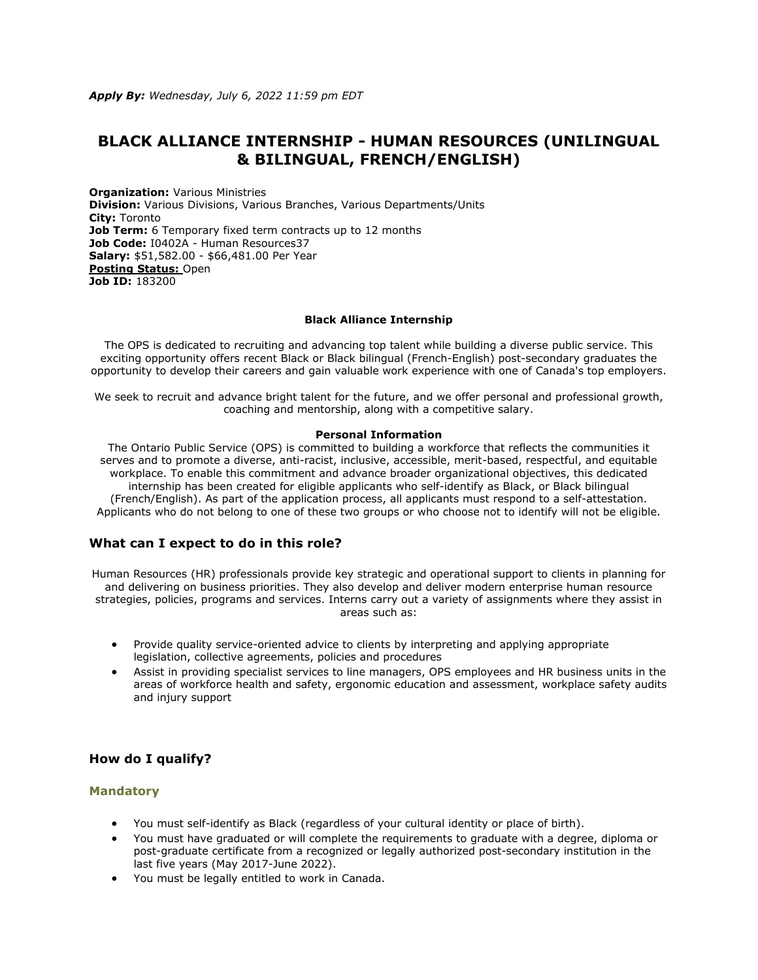# **BLACK ALLIANCE INTERNSHIP - HUMAN RESOURCES (UNILINGUAL & BILINGUAL, FRENCH/ENGLISH)**

**Organization:** Various Ministries **Division:** Various Divisions, Various Branches, Various Departments/Units **City:** Toronto **Job Term:** 6 Temporary fixed term contracts up to 12 months Job Code: I0402A - Human Resources37 **Salary:** \$51,582.00 - \$66,481.00 Per Year **[Posting Status:](https://www.ontario.ca/page/careers-job-ad-definitions)** Open **Job ID:** 183200

#### **Black Alliance Internship**

The OPS is dedicated to recruiting and advancing top talent while building a diverse public service. This exciting opportunity offers recent Black or Black bilingual (French-English) post-secondary graduates the opportunity to develop their careers and gain valuable work experience with one of Canada's top employers.

We seek to recruit and advance bright talent for the future, and we offer personal and professional growth, coaching and mentorship, along with a competitive salary.

#### **Personal Information**

The Ontario Public Service (OPS) is committed to building a workforce that reflects the communities it serves and to promote a diverse, anti-racist, inclusive, accessible, merit-based, respectful, and equitable workplace. To enable this commitment and advance broader organizational objectives, this dedicated internship has been created for eligible applicants who self-identify as Black, or Black bilingual (French/English). As part of the application process, all applicants must respond to a self-attestation. Applicants who do not belong to one of these two groups or who choose not to identify will not be eligible.

### **What can I expect to do in this role?**

Human Resources (HR) professionals provide key strategic and operational support to clients in planning for and delivering on business priorities. They also develop and deliver modern enterprise human resource strategies, policies, programs and services. Interns carry out a variety of assignments where they assist in areas such as:

- Provide quality service-oriented advice to clients by interpreting and applying appropriate legislation, collective agreements, policies and procedures
- Assist in providing specialist services to line managers, OPS employees and HR business units in the areas of workforce health and safety, ergonomic education and assessment, workplace safety audits and injury support

# **How do I qualify?**

# **Mandatory**

- You must self-identify as Black (regardless of your cultural identity or place of birth).
- You must have graduated or will complete the requirements to graduate with a degree, diploma or post-graduate certificate from a recognized or legally authorized post-secondary institution in the last five years (May 2017-June 2022).
- You must be legally entitled to work in Canada.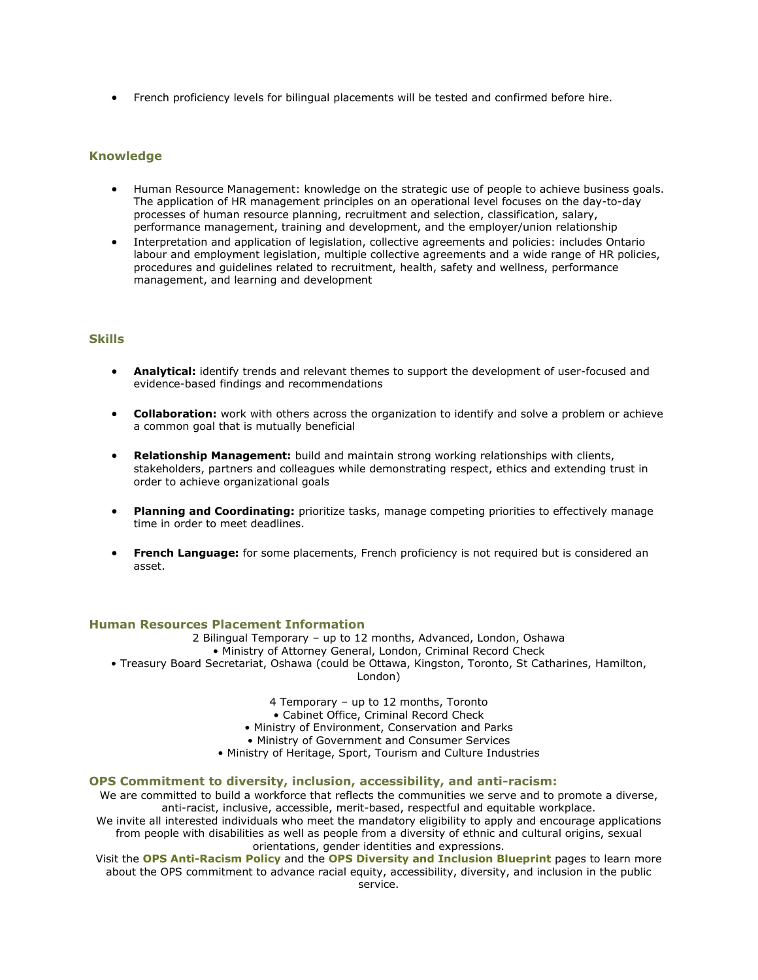• French proficiency levels for bilingual placements will be tested and confirmed before hire.

# **Knowledge**

- Human Resource Management: knowledge on the strategic use of people to achieve business goals. The application of HR management principles on an operational level focuses on the day-to-day processes of human resource planning, recruitment and selection, classification, salary, performance management, training and development, and the employer/union relationship
- Interpretation and application of legislation, collective agreements and policies: includes Ontario labour and employment legislation, multiple collective agreements and a wide range of HR policies, procedures and guidelines related to recruitment, health, safety and wellness, performance management, and learning and development

#### **Skills**

- **Analytical:** identify trends and relevant themes to support the development of user-focused and evidence-based findings and recommendations
- **Collaboration:** work with others across the organization to identify and solve a problem or achieve a common goal that is mutually beneficial
- **Relationship Management:** build and maintain strong working relationships with clients, stakeholders, partners and colleagues while demonstrating respect, ethics and extending trust in order to achieve organizational goals
- **Planning and Coordinating:** prioritize tasks, manage competing priorities to effectively manage time in order to meet deadlines.
- **French Language:** for some placements, French proficiency is not required but is considered an asset.

#### **Human Resources Placement Information**

2 Bilingual Temporary – up to 12 months, Advanced, London, Oshawa • Ministry of Attorney General, London, Criminal Record Check • Treasury Board Secretariat, Oshawa (could be Ottawa, Kingston, Toronto, St Catharines, Hamilton, London)

4 Temporary – up to 12 months, Toronto

• Cabinet Office, Criminal Record Check

• Ministry of Environment, Conservation and Parks

• Ministry of Government and Consumer Services

• Ministry of Heritage, Sport, Tourism and Culture Industries

#### **OPS Commitment to diversity, inclusion, accessibility, and anti-racism:**

We are committed to build a workforce that reflects the communities we serve and to promote a diverse, anti-racist, inclusive, accessible, merit-based, respectful and equitable workplace.

We invite all interested individuals who meet the mandatory eligibility to apply and encourage applications from people with disabilities as well as people from a diversity of ethnic and cultural origins, sexual orientations, gender identities and expressions.

Visit the **[OPS Anti-Racism Policy](https://www.ontario.ca/page/ontario-public-service-anti-racism-policy)** and the **[OPS Diversity and Inclusion Blueprint](https://www.ontario.ca/page/ops-inclusion-diversity-blueprint)** pages to learn more about the OPS commitment to advance racial equity, accessibility, diversity, and inclusion in the public service.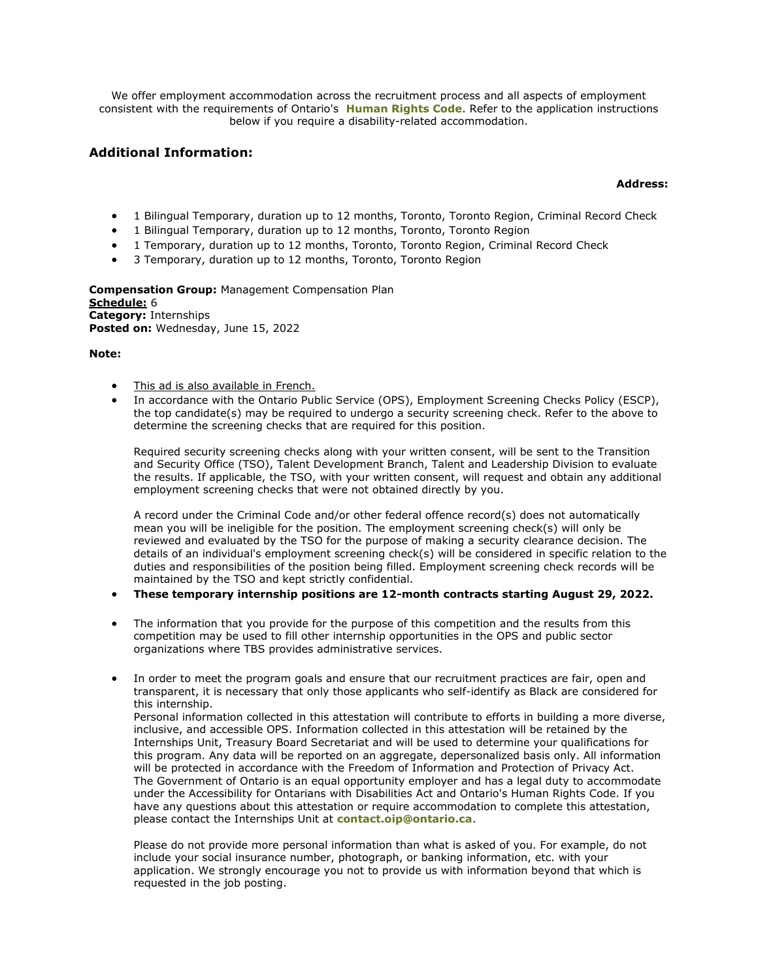We offer employment accommodation across the recruitment process and all aspects of employment consistent with the requirements of Ontario's **[Human Rights Code](https://www.ohrc.on.ca/en/ontario-human-rights-code)**. Refer to the application instructions below if you require a disability-related accommodation.

# **Additional Information:**

## **Address:**

- 1 Bilingual Temporary, duration up to 12 months, Toronto, Toronto Region, Criminal Record Check
- 1 Bilingual Temporary, duration up to 12 months, Toronto, Toronto Region
- 1 Temporary, duration up to 12 months, Toronto, Toronto Region, Criminal Record Check
- 3 Temporary, duration up to 12 months, Toronto, Toronto Region

**Compensation Group:** Management Compensation Plan **[Schedule:](https://www.ontario.ca/page/careers-job-ad-definitions)** 6 **Category:** Internships **Posted on:** Wednesday, June 15, 2022

### **Note:**

- [This ad is also available in French.](https://www.gojobs.gov.on.ca/Preview.aspx?Language=French&JobID=183200)
- In accordance with the Ontario Public Service (OPS), Employment Screening Checks Policy (ESCP), the top candidate(s) may be required to undergo a security screening check. Refer to the above to determine the screening checks that are required for this position.

Required security screening checks along with your written consent, will be sent to the Transition and Security Office (TSO), Talent Development Branch, Talent and Leadership Division to evaluate the results. If applicable, the TSO, with your written consent, will request and obtain any additional employment screening checks that were not obtained directly by you.

A record under the Criminal Code and/or other federal offence record(s) does not automatically mean you will be ineligible for the position. The employment screening check(s) will only be reviewed and evaluated by the TSO for the purpose of making a security clearance decision. The details of an individual's employment screening check(s) will be considered in specific relation to the duties and responsibilities of the position being filled. Employment screening check records will be maintained by the TSO and kept strictly confidential.

- **These temporary internship positions are 12-month contracts starting August 29, 2022.**
- The information that you provide for the purpose of this competition and the results from this competition may be used to fill other internship opportunities in the OPS and public sector organizations where TBS provides administrative services.
- In order to meet the program goals and ensure that our recruitment practices are fair, open and transparent, it is necessary that only those applicants who self-identify as Black are considered for this internship.

Personal information collected in this attestation will contribute to efforts in building a more diverse, inclusive, and accessible OPS. Information collected in this attestation will be retained by the Internships Unit, Treasury Board Secretariat and will be used to determine your qualifications for this program. Any data will be reported on an aggregate, depersonalized basis only. All information will be protected in accordance with the Freedom of Information and Protection of Privacy Act. The Government of Ontario is an equal opportunity employer and has a legal duty to accommodate under the Accessibility for Ontarians with Disabilities Act and Ontario's Human Rights Code. If you have any questions about this attestation or require accommodation to complete this attestation, please contact the Internships Unit at **[contact.oip@ontario.ca](mailto:contact.oip@ontario.ca)**.

Please do not provide more personal information than what is asked of you. For example, do not include your social insurance number, photograph, or banking information, etc. with your application. We strongly encourage you not to provide us with information beyond that which is requested in the job posting.